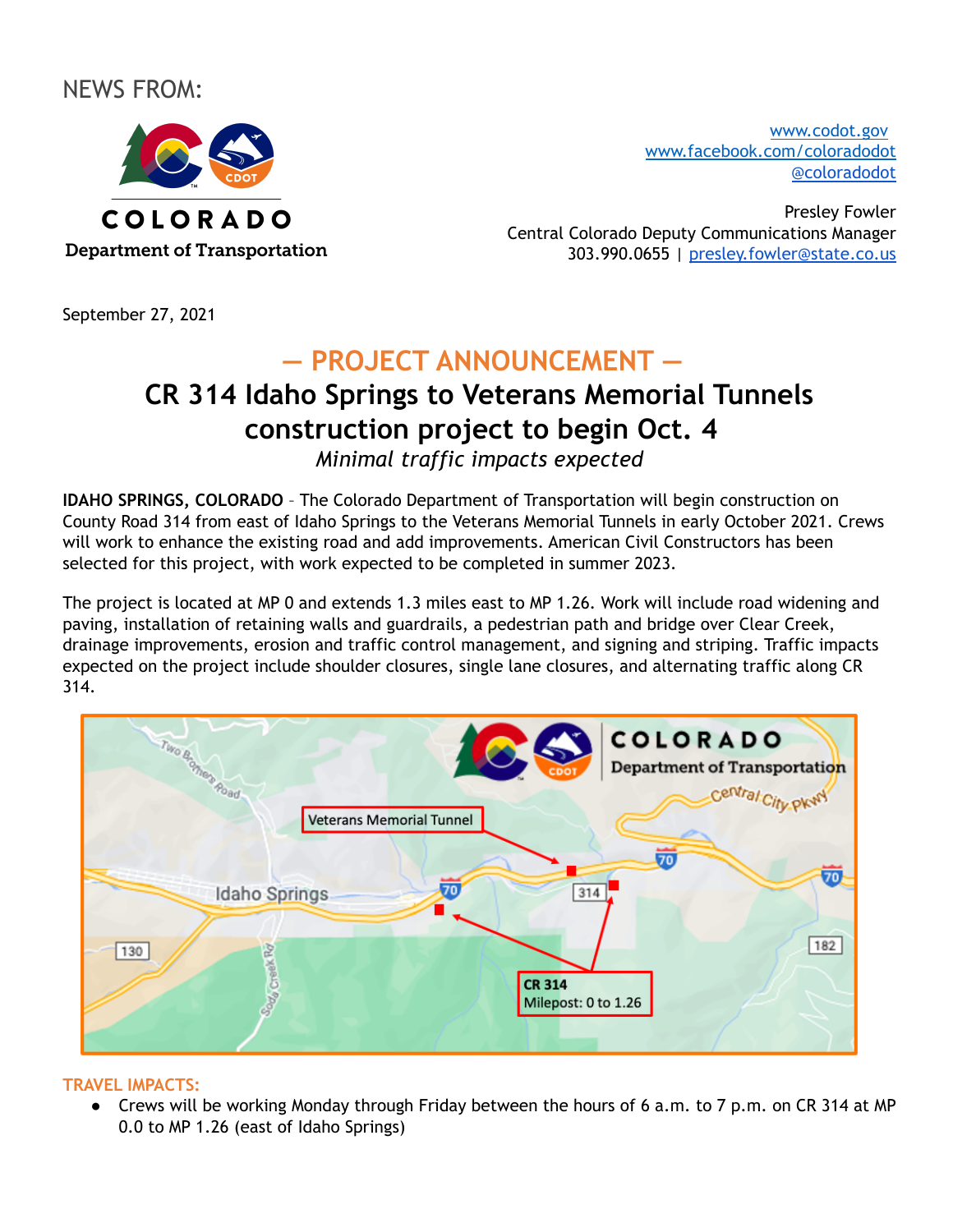### NEWS FROM:



www.codot.gov www.facebook.com/coloradodot @coloradodot

Presley Fowler Central Colorado Deputy Communications Manager 303.990.0655 | presley.fowler@state.co.us

September 27, 2021

## **― PROJECT ANNOUNCEMENT ―**

# **CR 314 Idaho Springs to Veterans Memorial Tunnels construction project to begin Oct. 4**

*Minimal traffic impacts expected*

**IDAHO SPRINGS, COLORADO** – The Colorado Department of Transportation will begin construction on County Road 314 from east of Idaho Springs to the Veterans Memorial Tunnels in early October 2021. Crews will work to enhance the existing road and add improvements. American Civil Constructors has been selected for this project, with work expected to be completed in summer 2023.

The project is located at MP 0 and extends 1.3 miles east to MP 1.26. Work will include road widening and paving, installation of retaining walls and guardrails, a pedestrian path and bridge over Clear Creek, drainage improvements, erosion and traffic control management, and signing and striping. Traffic impacts expected on the project include shoulder closures, single lane closures, and alternating traffic along CR 314.



#### **TRAVEL IMPACTS:**

● Crews will be working Monday through Friday between the hours of 6 a.m. to 7 p.m. on CR 314 at MP 0.0 to MP 1.26 (east of Idaho Springs)